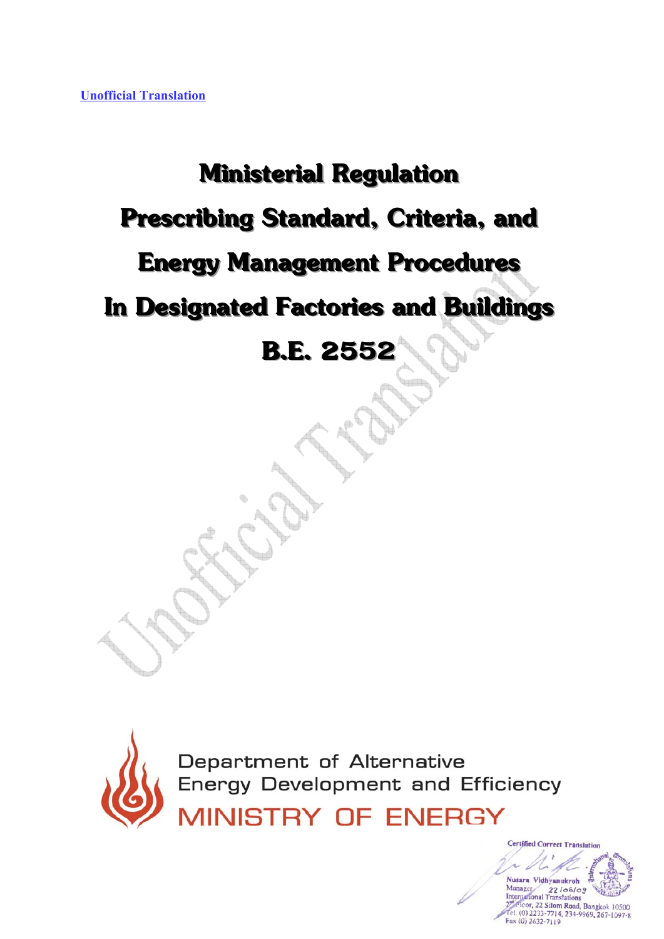## **Ministerial Regulation Prescribing Standard, Criteria, and Energy Management Procedures In Designated Factories and Buildings B.E. 2552**



Department of Alternative<br>Energy Development and Efficiency

MINISTRY OF ENERGY

**ivanukroh**  $22106/09$ ranslations or, 22 Silom Road, Bangkok 10500 el. (0) 2233-7714, 234-9969, 267-1097-8 Fax (0) 2632-7119

**Certified Correct Translation**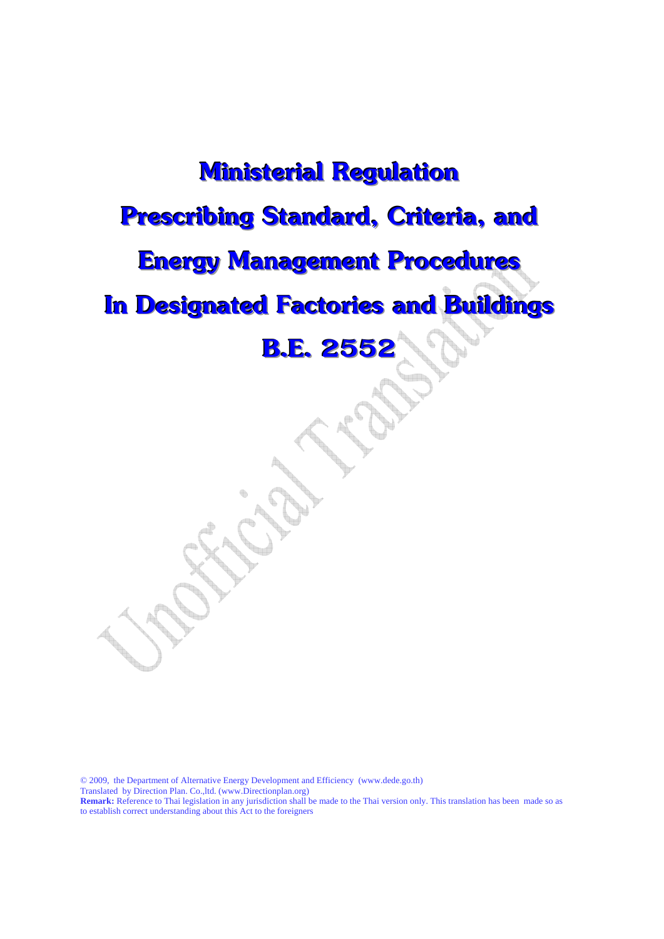## **Ministerial Regulation Prescribing Standard, Criteria, and Energy Management Procedures In Designated Factories and Buildings B.E. 2552**

© 2009, the Department of Alternative Energy Development and Efficiency (www.dede.go.th) Translated by Direction Plan. Co.,ltd. (www.Directionplan.org) **Remark:** Reference to Thai legislation in any jurisdiction shall be made to the Thai version only. This translation has been made so as

to establish correct understanding about this Act to the foreigners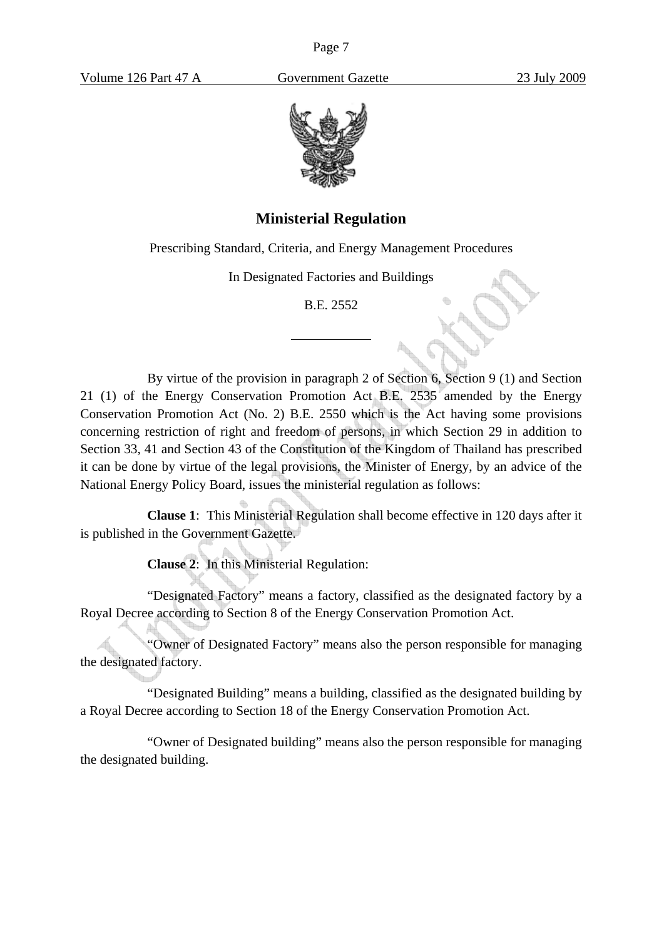

## **Ministerial Regulation**

Prescribing Standard, Criteria, and Energy Management Procedures

In Designated Factories and Buildings

B.E. 2552

 $\overline{a}$ 

By virtue of the provision in paragraph 2 of Section 6, Section 9 (1) and Section 21 (1) of the Energy Conservation Promotion Act B.E. 2535 amended by the Energy Conservation Promotion Act (No. 2) B.E. 2550 which is the Act having some provisions concerning restriction of right and freedom of persons, in which Section 29 in addition to Section 33, 41 and Section 43 of the Constitution of the Kingdom of Thailand has prescribed it can be done by virtue of the legal provisions, the Minister of Energy, by an advice of the National Energy Policy Board, issues the ministerial regulation as follows:

**Clause 1**: This Ministerial Regulation shall become effective in 120 days after it is published in the Government Gazette.

**Clause 2**: In this Ministerial Regulation:

"Designated Factory" means a factory, classified as the designated factory by a Royal Decree according to Section 8 of the Energy Conservation Promotion Act.

"Owner of Designated Factory" means also the person responsible for managing the designated factory.

"Designated Building" means a building, classified as the designated building by a Royal Decree according to Section 18 of the Energy Conservation Promotion Act.

"Owner of Designated building" means also the person responsible for managing the designated building.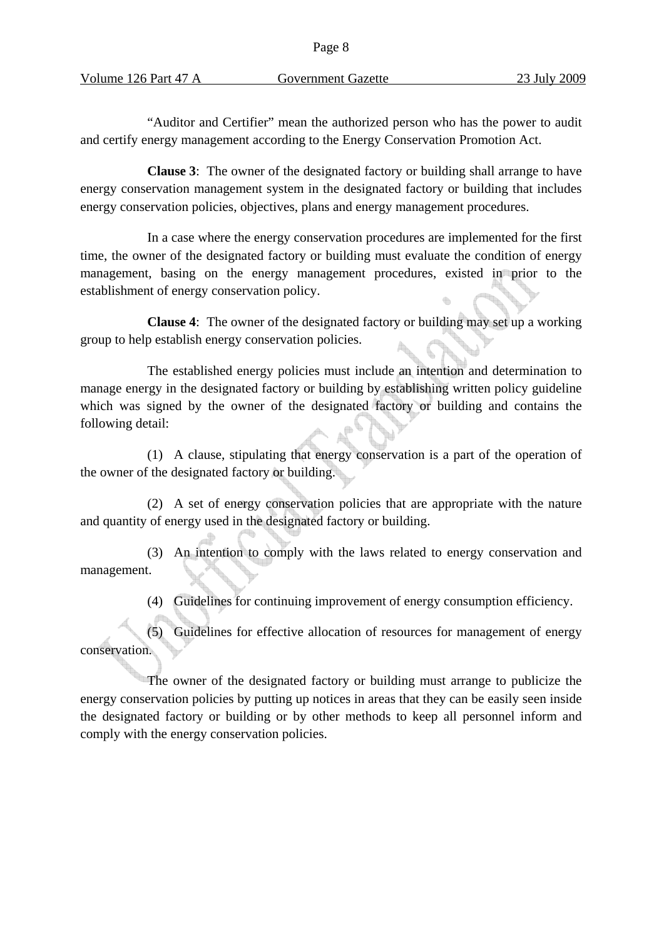| Volume 126 Part 47 A |  |  |
|----------------------|--|--|
|                      |  |  |

"Auditor and Certifier" mean the authorized person who has the power to audit and certify energy management according to the Energy Conservation Promotion Act.

**Clause 3**: The owner of the designated factory or building shall arrange to have energy conservation management system in the designated factory or building that includes energy conservation policies, objectives, plans and energy management procedures.

In a case where the energy conservation procedures are implemented for the first time, the owner of the designated factory or building must evaluate the condition of energy management, basing on the energy management procedures, existed in prior to the establishment of energy conservation policy.

**Clause 4**: The owner of the designated factory or building may set up a working group to help establish energy conservation policies.

The established energy policies must include an intention and determination to manage energy in the designated factory or building by establishing written policy guideline which was signed by the owner of the designated factory or building and contains the following detail:

(1) A clause, stipulating that energy conservation is a part of the operation of the owner of the designated factory or building.

(2) A set of energy conservation policies that are appropriate with the nature and quantity of energy used in the designated factory or building.

(3) An intention to comply with the laws related to energy conservation and management.

(4) Guidelines for continuing improvement of energy consumption efficiency.

(5) Guidelines for effective allocation of resources for management of energy conservation.

The owner of the designated factory or building must arrange to publicize the energy conservation policies by putting up notices in areas that they can be easily seen inside the designated factory or building or by other methods to keep all personnel inform and comply with the energy conservation policies.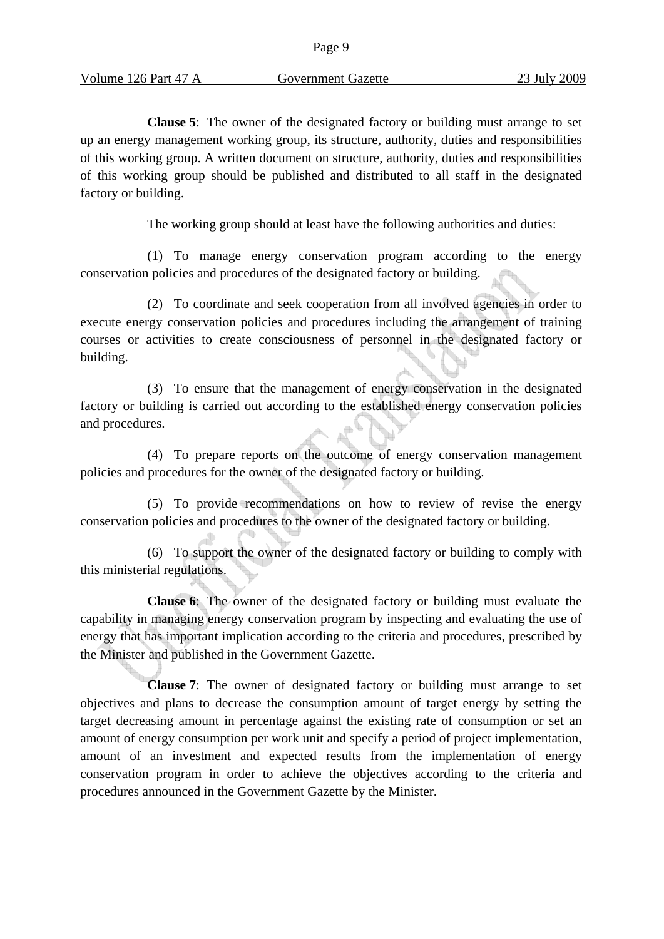**Clause 5**: The owner of the designated factory or building must arrange to set up an energy management working group, its structure, authority, duties and responsibilities of this working group. A written document on structure, authority, duties and responsibilities of this working group should be published and distributed to all staff in the designated factory or building.

The working group should at least have the following authorities and duties:

(1) To manage energy conservation program according to the energy conservation policies and procedures of the designated factory or building.

(2) To coordinate and seek cooperation from all involved agencies in order to execute energy conservation policies and procedures including the arrangement of training courses or activities to create consciousness of personnel in the designated factory or building.

(3) To ensure that the management of energy conservation in the designated factory or building is carried out according to the established energy conservation policies and procedures.

(4) To prepare reports on the outcome of energy conservation management policies and procedures for the owner of the designated factory or building.

(5) To provide recommendations on how to review of revise the energy conservation policies and procedures to the owner of the designated factory or building.

(6) To support the owner of the designated factory or building to comply with this ministerial regulations.

**Clause 6**: The owner of the designated factory or building must evaluate the capability in managing energy conservation program by inspecting and evaluating the use of energy that has important implication according to the criteria and procedures, prescribed by the Minister and published in the Government Gazette.

**Clause 7**: The owner of designated factory or building must arrange to set objectives and plans to decrease the consumption amount of target energy by setting the target decreasing amount in percentage against the existing rate of consumption or set an amount of energy consumption per work unit and specify a period of project implementation, amount of an investment and expected results from the implementation of energy conservation program in order to achieve the objectives according to the criteria and procedures announced in the Government Gazette by the Minister.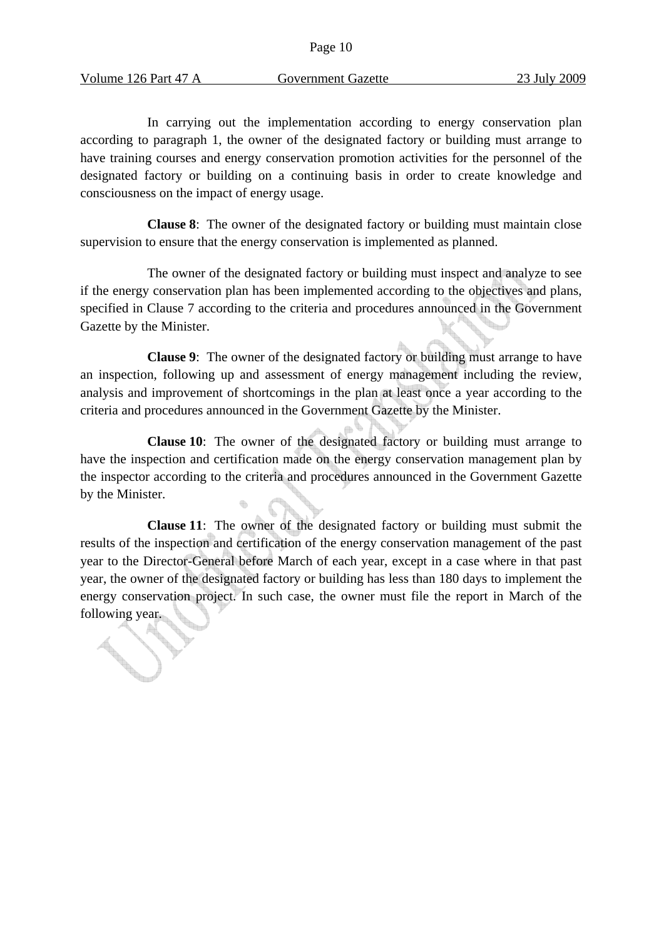**SANTA CONTRACTOR** 

In carrying out the implementation according to energy conservation plan according to paragraph 1, the owner of the designated factory or building must arrange to have training courses and energy conservation promotion activities for the personnel of the designated factory or building on a continuing basis in order to create knowledge and consciousness on the impact of energy usage.

**Clause 8**: The owner of the designated factory or building must maintain close supervision to ensure that the energy conservation is implemented as planned.

The owner of the designated factory or building must inspect and analyze to see if the energy conservation plan has been implemented according to the objectives and plans, specified in Clause 7 according to the criteria and procedures announced in the Government Gazette by the Minister.

**Clause 9**: The owner of the designated factory or building must arrange to have an inspection, following up and assessment of energy management including the review, analysis and improvement of shortcomings in the plan at least once a year according to the criteria and procedures announced in the Government Gazette by the Minister.

**Clause 10**: The owner of the designated factory or building must arrange to have the inspection and certification made on the energy conservation management plan by the inspector according to the criteria and procedures announced in the Government Gazette by the Minister.

**Clause 11**: The owner of the designated factory or building must submit the results of the inspection and certification of the energy conservation management of the past year to the Director-General before March of each year, except in a case where in that past year, the owner of the designated factory or building has less than 180 days to implement the energy conservation project. In such case, the owner must file the report in March of the energy comes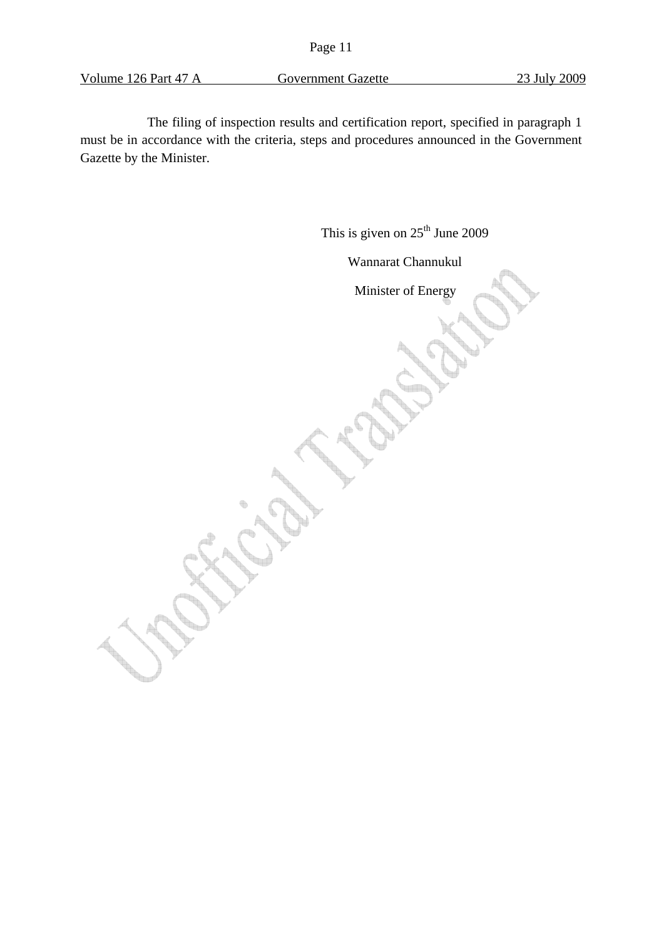Volume 126 Part 47 A Government Gazette 23 July 2009

The filing of inspection results and certification report, specified in paragraph 1 must be in accordance with the criteria, steps and procedures announced in the Government Gazette by the Minister.

This is given on  $25<sup>th</sup>$  June 2009

Wannarat Channukul

Minister of Energy